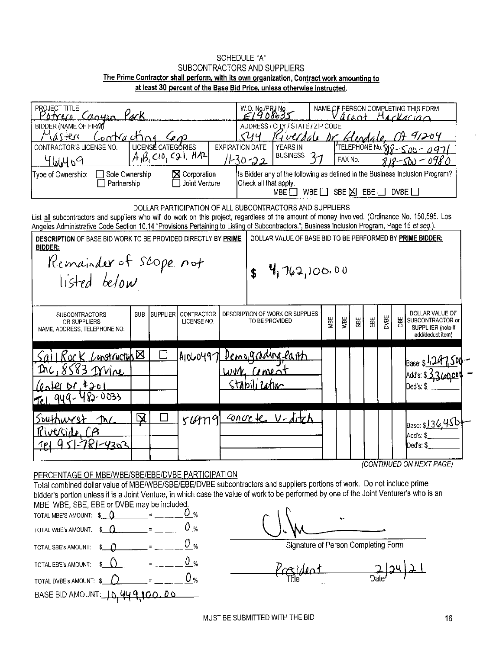## SCHEDULE "A" SUBCONTRACTORS AND SUPPLIERS The Prime Contractor shall perform, with its own organization, Contract work amounting to at least 30 percent of the Base Bid Price, unless otherwise instructed.

| PROJECT TITLE<br>Potrero                                                                                                                                                                                                                                                                                                                                      | Canyon Pack                                                                                                                                                 |                                                                   |          |                           |  | W.O. No./PRJ No.<br>£1908699                                                                           |                                                   |     |     |            |   |      |     | NAME OF PERSON COMPLETING THIS FORM<br>acant Mackacian                        |
|---------------------------------------------------------------------------------------------------------------------------------------------------------------------------------------------------------------------------------------------------------------------------------------------------------------------------------------------------------------|-------------------------------------------------------------------------------------------------------------------------------------------------------------|-------------------------------------------------------------------|----------|---------------------------|--|--------------------------------------------------------------------------------------------------------|---------------------------------------------------|-----|-----|------------|---|------|-----|-------------------------------------------------------------------------------|
| BIDDER (NAME OF FIRM)<br>$1 + e^{rt}$                                                                                                                                                                                                                                                                                                                         | Contracting                                                                                                                                                 | ADDRESS / CITY / STATE / ZIP CODE<br>Guerdale Dr<br>9,204<br>Hend |          |                           |  |                                                                                                        |                                                   |     |     |            |   |      |     |                                                                               |
| CONTRACTOR'S LICENSE NO.<br>964969                                                                                                                                                                                                                                                                                                                            | <b>EXPIRATION DATE</b><br><b>'</b> TELEPHONE Νο. Ϙ<br><b>YEARS IN</b><br>ハー ハイフ<br><b>BUSINESS</b><br>37<br>11-30-22<br>FAX No.                             |                                                                   |          |                           |  |                                                                                                        |                                                   |     |     |            |   |      |     |                                                                               |
| Type of Ownership:                                                                                                                                                                                                                                                                                                                                            | Is Bidder any of the following as defined in the Business Inclusion Program?<br>Check all that apply.<br>SBE $\Sigma$ EBE $\square$<br>DVBE<br>WBE [<br>MBE |                                                                   |          |                           |  |                                                                                                        |                                                   |     |     |            |   |      |     |                                                                               |
| DOLLAR PARTICIPATION OF ALL SUBCONTRACTORS AND SUPPLIERS<br>List all subcontractors and suppliers who will do work on this project, regardless of the amount of money involved. (Ordinance No. 150,595. Los<br>Angeles Administrative Code Section 10.14 "Provisions Pertaining to Listing of Subcontractors."; Business Inclusion Program, Page 15 et seq.). |                                                                                                                                                             |                                                                   |          |                           |  |                                                                                                        |                                                   |     |     |            |   |      |     |                                                                               |
| DOLLAR VALUE OF BASE BID TO BE PERFORMED BY PRIME BIDDER:<br><b>DESCRIPTION OF BASE BID WORK TO BE PROVIDED DIRECTLY BY PRIME</b><br><b>BIDDER:</b>                                                                                                                                                                                                           |                                                                                                                                                             |                                                                   |          |                           |  |                                                                                                        |                                                   |     |     |            |   |      |     |                                                                               |
| Remainder of Scope not<br>4,762,100.00<br>$\mathbf{r}$<br>listed below                                                                                                                                                                                                                                                                                        |                                                                                                                                                             |                                                                   |          |                           |  |                                                                                                        |                                                   |     |     |            |   |      |     |                                                                               |
| <b>SUBCONTRACTORS</b><br>OR SUPPLIERS<br>NAME, ADDRESS, TELEPHONE NO.                                                                                                                                                                                                                                                                                         |                                                                                                                                                             | <b>SUB</b>                                                        | Supplier | CONTRACTOR<br>LICENSE NO. |  |                                                                                                        | DESCRIPTION OF WORK OR SUPPLIES<br>TO BE PROVIDED | MBE | WBE | <b>SBE</b> | 留 | DVBE | OBE | DOLLAR VALUE OF<br>SUBCONTRACTOR or<br>SUPPLIIER (note if<br>add/deduct item) |
| Inc                                                                                                                                                                                                                                                                                                                                                           | <u>I Rock</u> Lonstructub <sub></sub><br>8583 <u>Mire</u>                                                                                                   |                                                                   |          |                           |  | $WW$ $1000$                                                                                            | Alow0497 Demograding earth                        |     |     |            |   |      |     | Base: $$^{1.14}$<br>Add's: \$_\$.3.600                                        |
| $0$ and $1201$                                                                                                                                                                                                                                                                                                                                                | 482-0033                                                                                                                                                    |                                                                   |          |                           |  | <tabl< td=""><td></td><td></td><td></td><td></td><td></td><td></td><td></td><td>Ded's: \$</td></tabl<> |                                                   |     |     |            |   |      |     | Ded's: \$                                                                     |
| Southwest<br>Riverside CA                                                                                                                                                                                                                                                                                                                                     | M                                                                                                                                                           | <u>又</u>                                                          |          | rumq                      |  |                                                                                                        | concre V-ditch                                    |     |     |            |   |      |     | Base: \$ <u>136,45</u> 0<br>Add's: \$                                         |
|                                                                                                                                                                                                                                                                                                                                                               | 781-4303                                                                                                                                                    |                                                                   |          |                           |  |                                                                                                        |                                                   |     |     |            |   |      |     | Ded's: \$                                                                     |
|                                                                                                                                                                                                                                                                                                                                                               | (CONTINUED ON NEXT PAGE)<br>PERCENTAGE OF MBE/WBE/SBE/EBE/DVBE PARTICIPATION                                                                                |                                                                   |          |                           |  |                                                                                                        |                                                   |     |     |            |   |      |     |                                                                               |

Total combined dollar value of MBE/WBE/SBE/EBE/DVBE subcontractors and suppliers portions of work. Do not include prime bidder's portion unless it is a Joint Venture, in which case the value of work to be performed by one of the Joint Venturer's who is an MBE, WBE, SBE, EBE or DVBE may be included.

|                                                                    |               | 0 %             |
|--------------------------------------------------------------------|---------------|-----------------|
| TOTAL WBE'S AMOUNT: $\oint$ $\left($                               |               | 0 <sub>%</sub>  |
| TOTAL SBE's AMOUNT:                                                | $\frac{1}{2}$ | () <sub>%</sub> |
| TOTAL EBE's AMOUNT: $\qquad \qquad \bullet \qquad \bullet$ = = = = |               | 0 %             |
| TOTAL DVBE's AMOUNT: $\frac{1}{2}$ $\frac{1}{2}$ = $\frac{1}{2}$   |               | 0 %             |
| BASE BID AMOUNT: $10, 449, 100, 00$                                |               |                 |

Signature of Person Completing Form

 $P_{\text{ref}}(d\omega t)$   $\frac{2}{\text{Date}}(24)$   $\frac{1}{2}$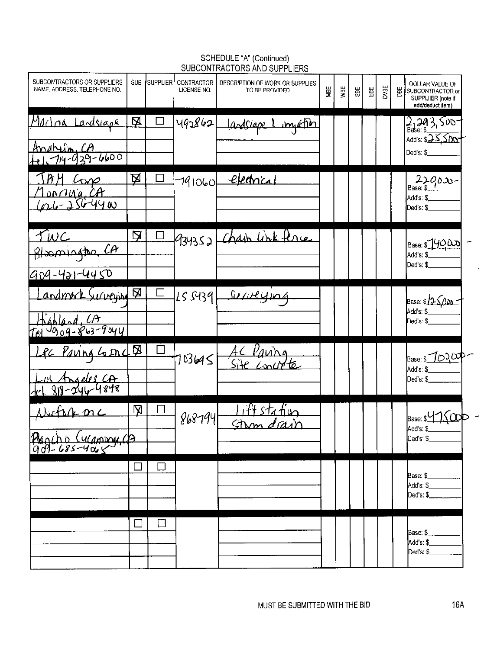| SUBCONTRACTORS OR SUPPLIERS<br>NAME, ADDRESS, TELEPHONE NO. | <b>SUB</b>   | <b>SUPPLIER</b> | CONTRACTOR<br>LICENSE NO. | DESCRIPTION OF WORK OR SUPPLIES<br>TO BE PROVIDED | MBE | уBE | SBE | ₩ | DVBE | 岁 | DOLLAR VALUE OF<br>SUBCONTRACTOR or<br>SUPPLIIER (note if<br>add/deduct item) |
|-------------------------------------------------------------|--------------|-----------------|---------------------------|---------------------------------------------------|-----|-----|-----|---|------|---|-------------------------------------------------------------------------------|
| Macina Landsiape<br>$Andhifn, CA$<br>$+1, 714-039-6600$     | 风            |                 | 492862                    | landslape 1 myation                               |     |     |     |   |      |   | 2, 243, 500<br>Add's: \$25,500<br>Ded's: \$_                                  |
| $L_{\Omega}$<br>Monraig CA<br>Cost - 256-4400               | <u>风</u>     |                 |                           | $791060$ electrical                               |     |     |     |   |      |   | $22000 -$ Base: \$<br>Add's: \$<br>Ded's: \$                                  |
| <u>TWC</u><br>Bloomington CA<br>909-421-4450                | $\mathbf{Q}$ |                 | 934352                    | Chash link lene                                   |     |     |     |   |      |   | Base: \$14000<br>Add's: \$<br>Ded's: \$                                       |
| andmork Surveying 5<br>$Hshlad, AB$<br>Tel 0909-863-9044    |              |                 | LS 5439                   | Jerveying                                         |     |     |     |   |      |   | Base: \$ 25,000<br>Add's: \$<br>Ded's: \$                                     |
| Lec Paving Grad D<br>Los Angeles CA                         |              |                 | 103645                    | <i>lavi</i> ng                                    |     |     |     |   |      |   | Base: \$700.00P<br>Add's: \$__<br>Ded's: \$                                   |
| Norfort onc<br>Pracho Cucanonica                            | 又            |                 | 868794                    | ift sta fin                                       |     |     |     |   |      |   | Base: \$47500<br>Add's: \$__<br>Ded's: \$____                                 |
|                                                             |              | $\Box$          |                           |                                                   |     |     |     |   |      |   | Base: \$<br>Add's: \$____<br>Ded's: \$                                        |
|                                                             | $\Box$       | $\Box$          |                           |                                                   |     |     |     |   |      |   | Base: \$<br>Add s: \$<br>Ded's: \$                                            |

## SCHEDULE "A" (Continued)<br>SUBCONTRACTORS AND SUPPLIERS